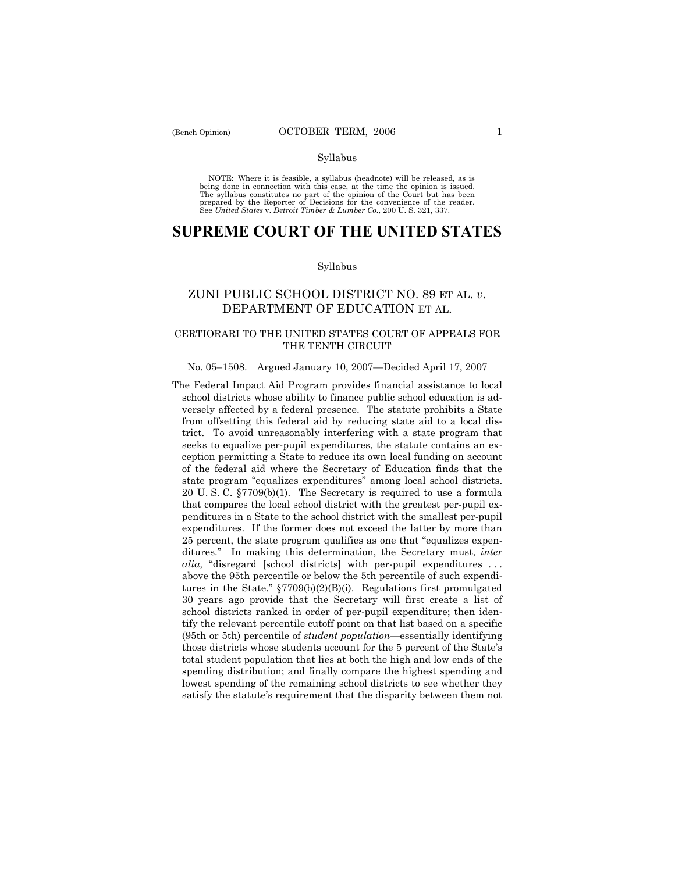#### Syllabus

NOTE: Where it is feasible, a syllabus (headnote) will be released, as is being done in connection with this case, at the time the opinion is issued. The syllabus constitutes no part of the opinion of the Court but has been<br>prepared by the Reporter of Decisions for the convenience of the reader.<br>See United States v. Detroit Timber & Lumber Co., 200 U. S. 321, 337.

# **SUPREME COURT OF THE UNITED STATES**

#### Syllabus

## ZUNI PUBLIC SCHOOL DISTRICT NO. 89 ET AL. *v*. DEPARTMENT OF EDUCATION ET AL.

## CERTIORARI TO THE UNITED STATES COURT OF APPEALS FOR THE TENTH CIRCUIT

## No. 05-1508. Argued January 10, 2007–Decided April 17, 2007

The Federal Impact Aid Program provides financial assistance to local school districts whose ability to finance public school education is adversely affected by a federal presence. The statute prohibits a State from offsetting this federal aid by reducing state aid to a local district. To avoid unreasonably interfering with a state program that seeks to equalize per-pupil expenditures, the statute contains an exception permitting a State to reduce its own local funding on account of the federal aid where the Secretary of Education finds that the state program "equalizes expenditures" among local school districts. 20 U. S. C. ß7709(b)(1). The Secretary is required to use a formula that compares the local school district with the greatest per-pupil expenditures in a State to the school district with the smallest per-pupil expenditures. If the former does not exceed the latter by more than 25 percent, the state program qualifies as one that "equalizes expenditures.î In making this determination, the Secretary must, *inter alia*, "disregard [school districts] with per-pupil expenditures ... above the 95th percentile or below the 5th percentile of such expenditures in the State."  $\S 7709(b)(2)(B)(i)$ . Regulations first promulgated 30 years ago provide that the Secretary will first create a list of school districts ranked in order of per-pupil expenditure; then identify the relevant percentile cutoff point on that list based on a specific (95th or 5th) percentile of *student population*—essentially identifying those districts whose students account for the 5 percent of the State's total student population that lies at both the high and low ends of the spending distribution; and finally compare the highest spending and lowest spending of the remaining school districts to see whether they satisfy the statute's requirement that the disparity between them not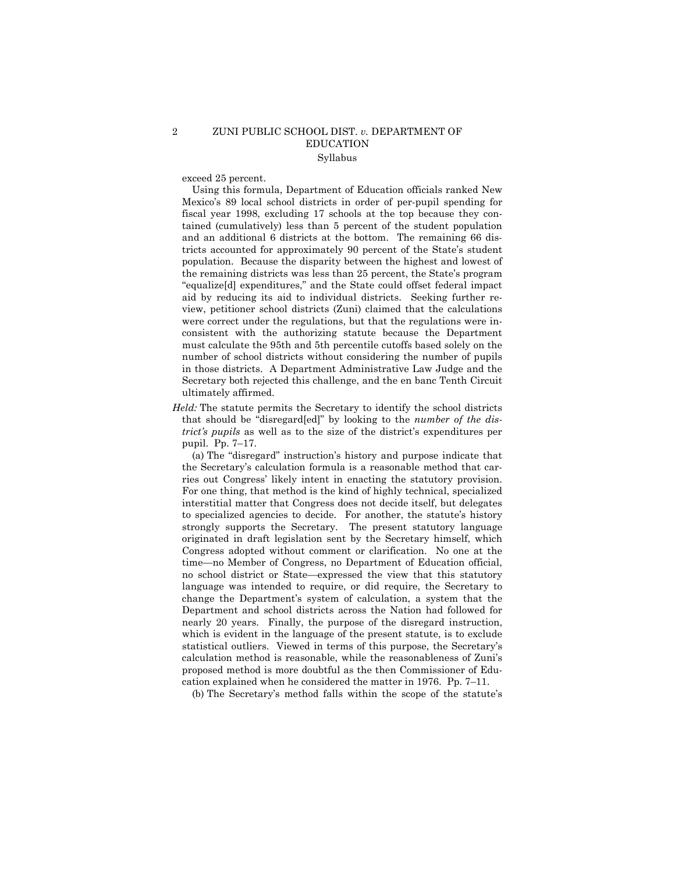### 2 ZUNI PUBLIC SCHOOL DIST. *v.* DEPARTMENT OF EDUCATION Syllabus

exceed 25 percent.

 Using this formula, Department of Education officials ranked New Mexicoís 89 local school districts in order of per-pupil spending for fiscal year 1998, excluding 17 schools at the top because they contained (cumulatively) less than 5 percent of the student population and an additional 6 districts at the bottom. The remaining 66 districts accounted for approximately 90 percent of the State's student population. Because the disparity between the highest and lowest of the remaining districts was less than 25 percent, the State's program "equalize[d] expenditures," and the State could offset federal impact aid by reducing its aid to individual districts. Seeking further review, petitioner school districts (Zuni) claimed that the calculations were correct under the regulations, but that the regulations were inconsistent with the authorizing statute because the Department must calculate the 95th and 5th percentile cutoffs based solely on the number of school districts without considering the number of pupils in those districts. A Department Administrative Law Judge and the Secretary both rejected this challenge, and the en banc Tenth Circuit ultimately affirmed.

*Held:* The statute permits the Secretary to identify the school districts that should be "disregard[ed]" by looking to the *number of the district's pupils* as well as to the size of the district's expenditures per pupil. Pp.  $7-17$ .

(a) The "disregard" instruction's history and purpose indicate that the Secretaryís calculation formula is a reasonable method that carries out Congress' likely intent in enacting the statutory provision. For one thing, that method is the kind of highly technical, specialized interstitial matter that Congress does not decide itself, but delegates to specialized agencies to decide. For another, the statute's history strongly supports the Secretary. The present statutory language originated in draft legislation sent by the Secretary himself, which Congress adopted without comment or clarification. No one at the time—no Member of Congress, no Department of Education official, no school district or State—expressed the view that this statutory language was intended to require, or did require, the Secretary to change the Departmentís system of calculation, a system that the Department and school districts across the Nation had followed for nearly 20 years. Finally, the purpose of the disregard instruction, which is evident in the language of the present statute, is to exclude statistical outliers. Viewed in terms of this purpose, the Secretaryís calculation method is reasonable, while the reasonableness of Zuni's proposed method is more doubtful as the then Commissioner of Education explained when he considered the matter in 1976. Pp.  $7-11$ .

(b) The Secretaryís method falls within the scope of the statuteís